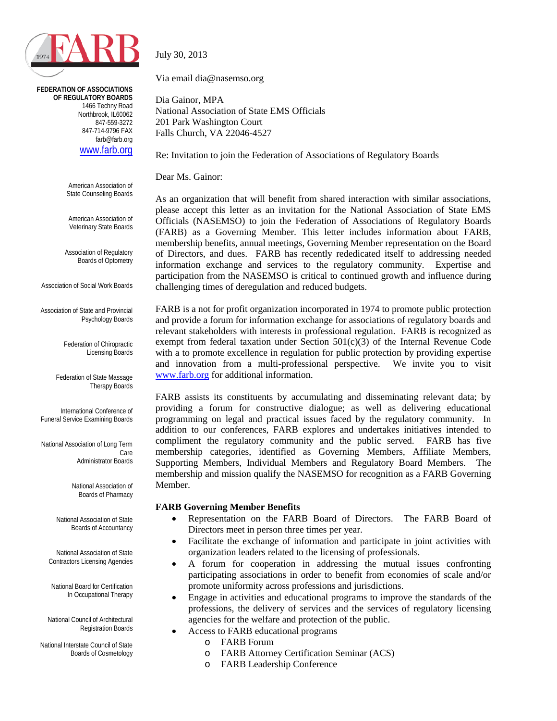

**FEDERATION OF ASSOCIATIONS OF REGULATORY BOARDS** 1466 Techny Road Northbrook, IL60062 847-559-3272 847-714-9796 FAX farb@farb.org [www.farb.org](http://www.farb.org/)

> American Association of State Counseling Boards

American Association of Veterinary State Boards

Association of Regulatory Boards of Optometry

Association of Social Work Boards

Association of State and Provincial Psychology Boards

> Federation of Chiropractic Licensing Boards

Federation of State Massage Therapy Boards

International Conference of Funeral Service Examining Boards

National Association of Long Term Care Administrator Boards

> National Association of Boards of Pharmacy

National Association of State Boards of Accountancy

National Association of State Contractors Licensing Agencies

National Board for Certification In Occupational Therapy

National Council of Architectural Registration Boards

National Interstate Council of State Boards of Cosmetology July 30, 2013

Via email dia@nasemso.org

Dia Gainor, MPA National Association of State EMS Officials 201 Park Washington Court Falls Church, VA 22046-4527

Re: Invitation to join the Federation of Associations of Regulatory Boards

Dear Ms. Gainor:

As an organization that will benefit from shared interaction with similar associations, please accept this letter as an invitation for the National Association of State EMS Officials (NASEMSO) to join the Federation of Associations of Regulatory Boards (FARB) as a Governing Member. This letter includes information about FARB, membership benefits, annual meetings, Governing Member representation on the Board of Directors, and dues. FARB has recently rededicated itself to addressing needed information exchange and services to the regulatory community. Expertise and participation from the NASEMSO is critical to continued growth and influence during challenging times of deregulation and reduced budgets.

FARB is a not for profit organization incorporated in 1974 to promote public protection and provide a forum for information exchange for associations of regulatory boards and relevant stakeholders with interests in professional regulation. FARB is recognized as exempt from federal taxation under Section  $501(c)(3)$  of the Internal Revenue Code with a to promote excellence in regulation for public protection by providing expertise and innovation from a multi-professional perspective. We invite you to visit [www.farb.org](http://www.farb.org/) for additional information.

FARB assists its constituents by accumulating and disseminating relevant data; by providing a forum for constructive dialogue; as well as delivering educational programming on legal and practical issues faced by the regulatory community. In addition to our conferences, FARB explores and undertakes initiatives intended to compliment the regulatory community and the public served. FARB has five membership categories, identified as Governing Members, Affiliate Members, Supporting Members, Individual Members and Regulatory Board Members. The membership and mission qualify the NASEMSO for recognition as a FARB Governing Member.

#### **FARB Governing Member Benefits**

- Representation on the FARB Board of Directors. The FARB Board of Directors meet in person three times per year.
- Facilitate the exchange of information and participate in joint activities with organization leaders related to the licensing of professionals.
- A forum for cooperation in addressing the mutual issues confronting participating associations in order to benefit from economies of scale and/or promote uniformity across professions and jurisdictions.
- Engage in activities and educational programs to improve the standards of the professions, the delivery of services and the services of regulatory licensing agencies for the welfare and protection of the public.
	- Access to FARB educational programs
		- o FARB Forum
		- o FARB Attorney Certification Seminar (ACS)
		- o FARB Leadership Conference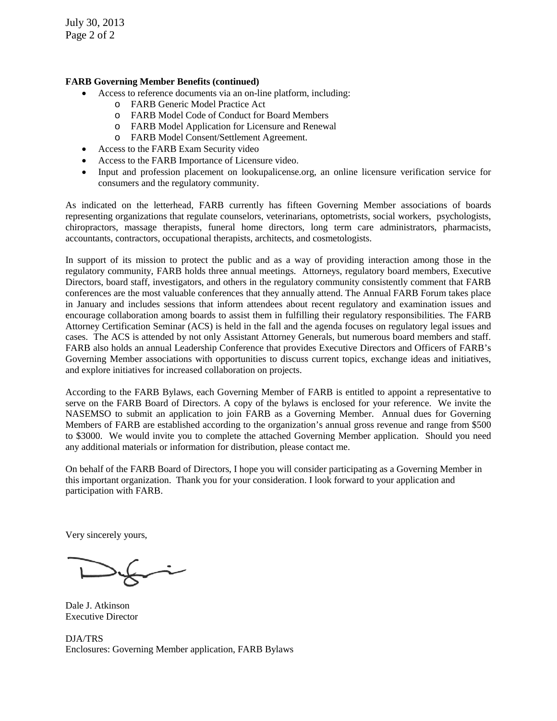July 30, 2013 Page 2 of 2

#### **FARB Governing Member Benefits (continued)**

- Access to reference documents via an on-line platform, including:
	- o FARB Generic Model Practice Act
	- o FARB Model Code of Conduct for Board Members
	- o FARB Model Application for Licensure and Renewal
	- o FARB Model Consent/Settlement Agreement.
- Access to the FARB Exam Security video
- Access to the FARB Importance of Licensure video.
- Input and profession placement on lookupalicense.org, an online licensure verification service for consumers and the regulatory community.

As indicated on the letterhead, FARB currently has fifteen Governing Member associations of boards representing organizations that regulate counselors, veterinarians, optometrists, social workers, psychologists, chiropractors, massage therapists, funeral home directors, long term care administrators, pharmacists, accountants, contractors, occupational therapists, architects, and cosmetologists.

In support of its mission to protect the public and as a way of providing interaction among those in the regulatory community, FARB holds three annual meetings. Attorneys, regulatory board members, Executive Directors, board staff, investigators, and others in the regulatory community consistently comment that FARB conferences are the most valuable conferences that they annually attend. The Annual FARB Forum takes place in January and includes sessions that inform attendees about recent regulatory and examination issues and encourage collaboration among boards to assist them in fulfilling their regulatory responsibilities. The FARB Attorney Certification Seminar (ACS) is held in the fall and the agenda focuses on regulatory legal issues and cases. The ACS is attended by not only Assistant Attorney Generals, but numerous board members and staff. FARB also holds an annual Leadership Conference that provides Executive Directors and Officers of FARB's Governing Member associations with opportunities to discuss current topics, exchange ideas and initiatives, and explore initiatives for increased collaboration on projects.

According to the FARB Bylaws, each Governing Member of FARB is entitled to appoint a representative to serve on the FARB Board of Directors. A copy of the bylaws is enclosed for your reference. We invite the NASEMSO to submit an application to join FARB as a Governing Member. Annual dues for Governing Members of FARB are established according to the organization's annual gross revenue and range from \$500 to \$3000. We would invite you to complete the attached Governing Member application. Should you need any additional materials or information for distribution, please contact me.

On behalf of the FARB Board of Directors, I hope you will consider participating as a Governing Member in this important organization. Thank you for your consideration. I look forward to your application and participation with FARB.

Very sincerely yours,

Dale J. Atkinson Executive Director

DJA/TRS Enclosures: Governing Member application, FARB Bylaws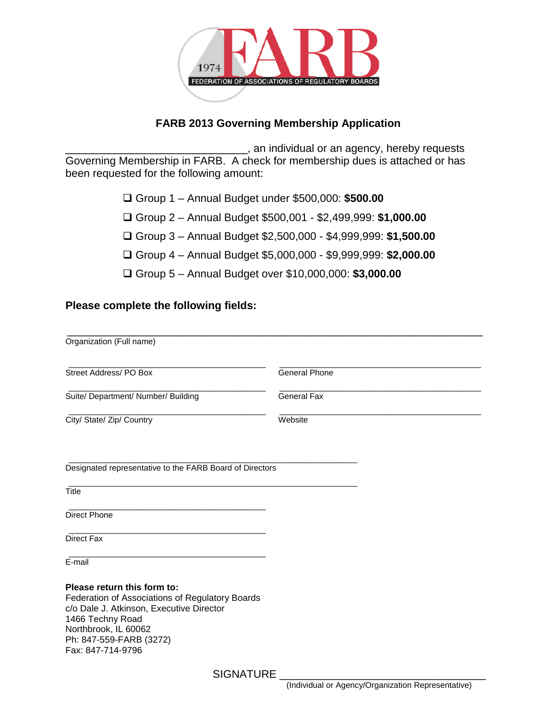

### **FARB 2013 Governing Membership Application**

\_\_\_\_\_\_\_\_\_\_\_\_\_\_\_\_\_\_\_\_\_\_\_\_\_\_\_\_\_\_, an individual or an agency, hereby requests Governing Membership in FARB. A check for membership dues is attached or has been requested for the following amount:

- Group 1 Annual Budget under \$500,000: **\$500.00**
- Group 2 Annual Budget \$500,001 \$2,499,999: **\$1,000.00**
- Group 3 Annual Budget \$2,500,000 \$4,999,999: **\$1,500.00**
- Group 4 Annual Budget \$5,000,000 \$9,999,999: **\$2,000.00**
- Group 5 Annual Budget over \$10,000,000: **\$3,000.00**

#### **Please complete the following fields:**

| Organization (Full name)                                                                                                                                                                                               |                      |
|------------------------------------------------------------------------------------------------------------------------------------------------------------------------------------------------------------------------|----------------------|
| Street Address/PO Box                                                                                                                                                                                                  | <b>General Phone</b> |
| Suite/ Department/ Number/ Building                                                                                                                                                                                    | <b>General Fax</b>   |
| City/ State/ Zip/ Country                                                                                                                                                                                              | Website              |
| Designated representative to the FARB Board of Directors                                                                                                                                                               |                      |
| <b>Title</b>                                                                                                                                                                                                           |                      |
| <b>Direct Phone</b>                                                                                                                                                                                                    |                      |
| <b>Direct Fax</b>                                                                                                                                                                                                      |                      |
| E-mail                                                                                                                                                                                                                 |                      |
| Please return this form to:<br>Federation of Associations of Regulatory Boards<br>c/o Dale J. Atkinson, Executive Director<br>1466 Techny Road<br>Northbrook, IL 60062<br>Ph: 847-559-FARB (3272)<br>Fax: 847-714-9796 |                      |
| $\bigcap_{n=1}^{\infty}$                                                                                                                                                                                               |                      |

SIGNATURE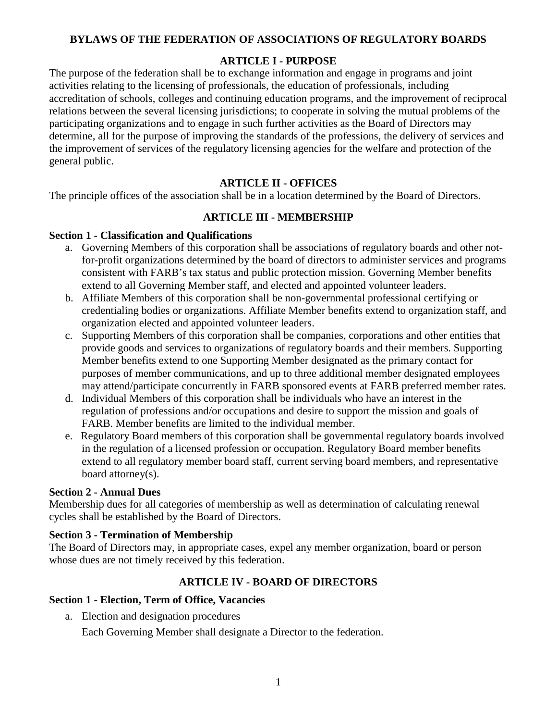#### **BYLAWS OF THE FEDERATION OF ASSOCIATIONS OF REGULATORY BOARDS**

### **ARTICLE I - PURPOSE**

The purpose of the federation shall be to exchange information and engage in programs and joint activities relating to the licensing of professionals, the education of professionals, including accreditation of schools, colleges and continuing education programs, and the improvement of reciprocal relations between the several licensing jurisdictions; to cooperate in solving the mutual problems of the participating organizations and to engage in such further activities as the Board of Directors may determine, all for the purpose of improving the standards of the professions, the delivery of services and the improvement of services of the regulatory licensing agencies for the welfare and protection of the general public.

## **ARTICLE II - OFFICES**

The principle offices of the association shall be in a location determined by the Board of Directors.

### **ARTICLE III - MEMBERSHIP**

### **Section 1 - Classification and Qualifications**

- a. Governing Members of this corporation shall be associations of regulatory boards and other notfor-profit organizations determined by the board of directors to administer services and programs consistent with FARB's tax status and public protection mission. Governing Member benefits extend to all Governing Member staff, and elected and appointed volunteer leaders.
- b. Affiliate Members of this corporation shall be non-governmental professional certifying or credentialing bodies or organizations. Affiliate Member benefits extend to organization staff, and organization elected and appointed volunteer leaders.
- c. Supporting Members of this corporation shall be companies, corporations and other entities that provide goods and services to organizations of regulatory boards and their members. Supporting Member benefits extend to one Supporting Member designated as the primary contact for purposes of member communications, and up to three additional member designated employees may attend/participate concurrently in FARB sponsored events at FARB preferred member rates.
- d. Individual Members of this corporation shall be individuals who have an interest in the regulation of professions and/or occupations and desire to support the mission and goals of FARB. Member benefits are limited to the individual member.
- e. Regulatory Board members of this corporation shall be governmental regulatory boards involved in the regulation of a licensed profession or occupation. Regulatory Board member benefits extend to all regulatory member board staff, current serving board members, and representative board attorney(s).

### **Section 2 - Annual Dues**

Membership dues for all categories of membership as well as determination of calculating renewal cycles shall be established by the Board of Directors.

### **Section 3 - Termination of Membership**

The Board of Directors may, in appropriate cases, expel any member organization, board or person whose dues are not timely received by this federation.

## **ARTICLE IV - BOARD OF DIRECTORS**

### **Section 1 - Election, Term of Office, Vacancies**

a. Election and designation procedures

Each Governing Member shall designate a Director to the federation.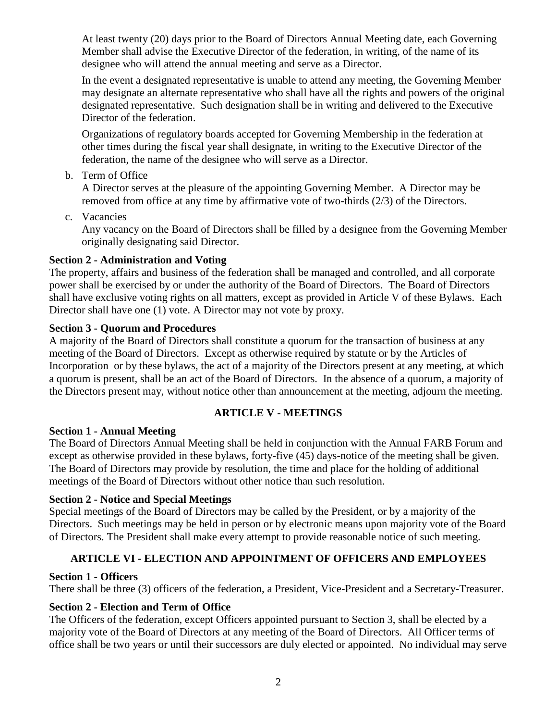At least twenty (20) days prior to the Board of Directors Annual Meeting date, each Governing Member shall advise the Executive Director of the federation, in writing, of the name of its designee who will attend the annual meeting and serve as a Director.

In the event a designated representative is unable to attend any meeting, the Governing Member may designate an alternate representative who shall have all the rights and powers of the original designated representative. Such designation shall be in writing and delivered to the Executive Director of the federation.

Organizations of regulatory boards accepted for Governing Membership in the federation at other times during the fiscal year shall designate, in writing to the Executive Director of the federation, the name of the designee who will serve as a Director.

b. Term of Office

A Director serves at the pleasure of the appointing Governing Member. A Director may be removed from office at any time by affirmative vote of two-thirds (2/3) of the Directors.

c. Vacancies

Any vacancy on the Board of Directors shall be filled by a designee from the Governing Member originally designating said Director.

### **Section 2 - Administration and Voting**

The property, affairs and business of the federation shall be managed and controlled, and all corporate power shall be exercised by or under the authority of the Board of Directors. The Board of Directors shall have exclusive voting rights on all matters, except as provided in Article V of these Bylaws. Each Director shall have one (1) vote. A Director may not vote by proxy.

### **Section 3 - Quorum and Procedures**

A majority of the Board of Directors shall constitute a quorum for the transaction of business at any meeting of the Board of Directors. Except as otherwise required by statute or by the Articles of Incorporation or by these bylaws, the act of a majority of the Directors present at any meeting, at which a quorum is present, shall be an act of the Board of Directors. In the absence of a quorum, a majority of the Directors present may, without notice other than announcement at the meeting, adjourn the meeting.

## **ARTICLE V - MEETINGS**

### **Section 1 - Annual Meeting**

The Board of Directors Annual Meeting shall be held in conjunction with the Annual FARB Forum and except as otherwise provided in these bylaws, forty-five (45) days-notice of the meeting shall be given. The Board of Directors may provide by resolution, the time and place for the holding of additional meetings of the Board of Directors without other notice than such resolution.

### **Section 2 - Notice and Special Meetings**

Special meetings of the Board of Directors may be called by the President, or by a majority of the Directors. Such meetings may be held in person or by electronic means upon majority vote of the Board of Directors. The President shall make every attempt to provide reasonable notice of such meeting.

## **ARTICLE VI - ELECTION AND APPOINTMENT OF OFFICERS AND EMPLOYEES**

### **Section 1 - Officers**

There shall be three (3) officers of the federation, a President, Vice-President and a Secretary-Treasurer.

### **Section 2 - Election and Term of Office**

The Officers of the federation, except Officers appointed pursuant to Section 3, shall be elected by a majority vote of the Board of Directors at any meeting of the Board of Directors. All Officer terms of office shall be two years or until their successors are duly elected or appointed. No individual may serve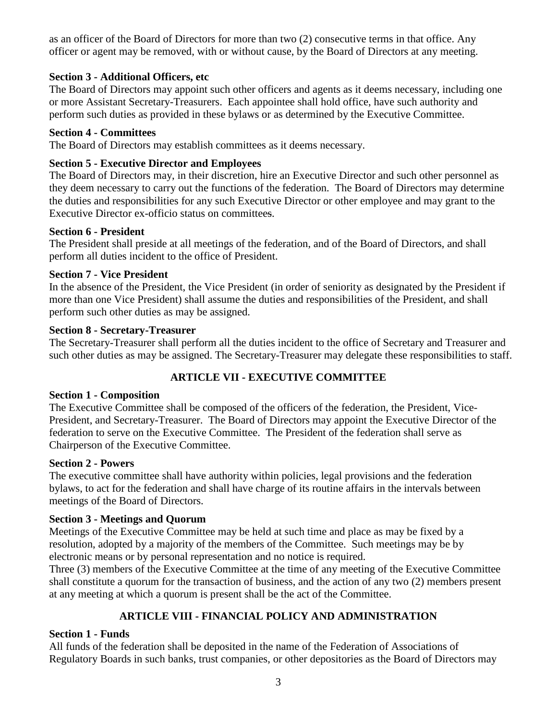as an officer of the Board of Directors for more than two (2) consecutive terms in that office. Any officer or agent may be removed, with or without cause, by the Board of Directors at any meeting.

### **Section 3 - Additional Officers, etc**

The Board of Directors may appoint such other officers and agents as it deems necessary, including one or more Assistant Secretary-Treasurers. Each appointee shall hold office, have such authority and perform such duties as provided in these bylaws or as determined by the Executive Committee.

### **Section 4 - Committees**

The Board of Directors may establish committees as it deems necessary.

### **Section 5 - Executive Director and Employees**

The Board of Directors may, in their discretion, hire an Executive Director and such other personnel as they deem necessary to carry out the functions of the federation. The Board of Directors may determine the duties and responsibilities for any such Executive Director or other employee and may grant to the Executive Director ex-officio status on committees.

### **Section 6 - President**

The President shall preside at all meetings of the federation, and of the Board of Directors, and shall perform all duties incident to the office of President.

### **Section 7 - Vice President**

In the absence of the President, the Vice President (in order of seniority as designated by the President if more than one Vice President) shall assume the duties and responsibilities of the President, and shall perform such other duties as may be assigned.

### **Section 8 - Secretary-Treasurer**

The Secretary-Treasurer shall perform all the duties incident to the office of Secretary and Treasurer and such other duties as may be assigned. The Secretary-Treasurer may delegate these responsibilities to staff.

# **ARTICLE VII - EXECUTIVE COMMITTEE**

## **Section 1 - Composition**

The Executive Committee shall be composed of the officers of the federation, the President, Vice-President, and Secretary-Treasurer. The Board of Directors may appoint the Executive Director of the federation to serve on the Executive Committee. The President of the federation shall serve as Chairperson of the Executive Committee.

### **Section 2 - Powers**

The executive committee shall have authority within policies, legal provisions and the federation bylaws, to act for the federation and shall have charge of its routine affairs in the intervals between meetings of the Board of Directors.

## **Section 3 - Meetings and Quorum**

Meetings of the Executive Committee may be held at such time and place as may be fixed by a resolution, adopted by a majority of the members of the Committee. Such meetings may be by electronic means or by personal representation and no notice is required.

Three (3) members of the Executive Committee at the time of any meeting of the Executive Committee shall constitute a quorum for the transaction of business, and the action of any two (2) members present at any meeting at which a quorum is present shall be the act of the Committee.

# **ARTICLE VIII - FINANCIAL POLICY AND ADMINISTRATION**

## **Section 1 - Funds**

All funds of the federation shall be deposited in the name of the Federation of Associations of Regulatory Boards in such banks, trust companies, or other depositories as the Board of Directors may